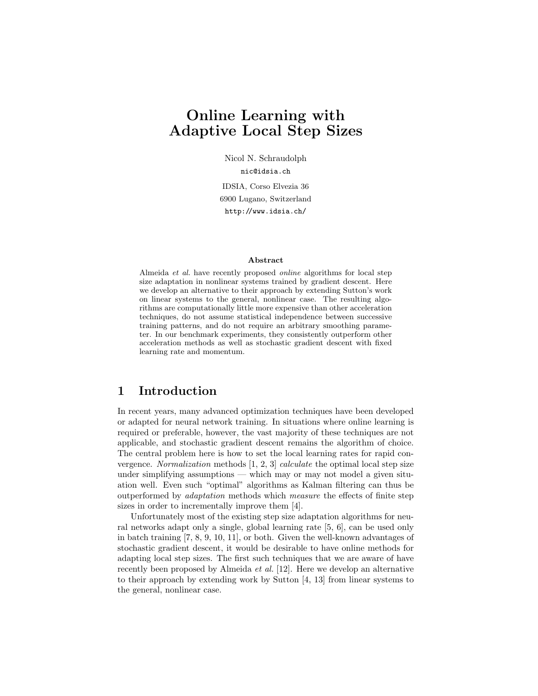# Online Learning with Adaptive Local Step Sizes

Nicol N. Schraudolph nic@idsia.ch

IDSIA, Corso Elvezia 36 6900 Lugano, Switzerland http://www.idsia.ch/

#### Abstract

Almeida et al. have recently proposed online algorithms for local step size adaptation in nonlinear systems trained by gradient descent. Here we develop an alternative to their approach by extending Sutton's work on linear systems to the general, nonlinear case. The resulting algorithms are computationally little more expensive than other acceleration techniques, do not assume statistical independence between successive training patterns, and do not require an arbitrary smoothing parameter. In our benchmark experiments, they consistently outperform other acceleration methods as well as stochastic gradient descent with fixed learning rate and momentum.

### 1 Introduction

In recent years, many advanced optimization techniques have been developed or adapted for neural network training. In situations where online learning is required or preferable, however, the vast majority of these techniques are not applicable, and stochastic gradient descent remains the algorithm of choice. The central problem here is how to set the local learning rates for rapid convergence. Normalization methods [1, 2, 3] calculate the optimal local step size under simplifying assumptions — which may or may not model a given situation well. Even such "optimal" algorithms as Kalman filtering can thus be outperformed by adaptation methods which measure the effects of finite step sizes in order to incrementally improve them [4].

Unfortunately most of the existing step size adaptation algorithms for neural networks adapt only a single, global learning rate [5, 6], can be used only in batch training [7, 8, 9, 10, 11], or both. Given the well-known advantages of stochastic gradient descent, it would be desirable to have online methods for adapting local step sizes. The first such techniques that we are aware of have recently been proposed by Almeida et al. [12]. Here we develop an alternative to their approach by extending work by Sutton [4, 13] from linear systems to the general, nonlinear case.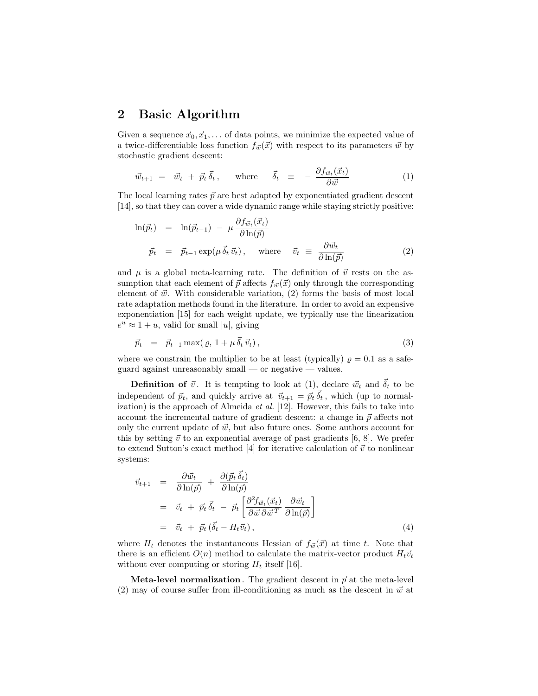#### 2 Basic Algorithm

Given a sequence  $\vec{x}_0, \vec{x}_1, \ldots$  of data points, we minimize the expected value of a twice-differentiable loss function  $f_{\vec{w}}(\vec{x})$  with respect to its parameters  $\vec{w}$  by stochastic gradient descent:

$$
\vec{w}_{t+1} = \vec{w}_t + \vec{p}_t \vec{\delta}_t, \quad \text{where} \quad \vec{\delta}_t \equiv -\frac{\partial f_{\vec{w}_t}(\vec{x}_t)}{\partial \vec{w}} \tag{1}
$$

The local learning rates  $\vec{p}$  are best adapted by exponentiated gradient descent [14], so that they can cover a wide dynamic range while staying strictly positive:

$$
\ln(\vec{p}_t) = \ln(\vec{p}_{t-1}) - \mu \frac{\partial f_{\vec{w}_t}(\vec{x}_t)}{\partial \ln(\vec{p})}
$$
  
\n
$$
\vec{p}_t = \vec{p}_{t-1} \exp(\mu \vec{\delta}_t \vec{v}_t), \quad \text{where} \quad \vec{v}_t \equiv \frac{\partial \vec{w}_t}{\partial \ln(\vec{p})}
$$
\n(2)

and  $\mu$  is a global meta-learning rate. The definition of  $\vec{v}$  rests on the assumption that each element of  $\vec{p}$  affects  $f_{\vec{w}}(\vec{x})$  only through the corresponding element of  $\vec{w}$ . With considerable variation, (2) forms the basis of most local rate adaptation methods found in the literature. In order to avoid an expensive exponentiation [15] for each weight update, we typically use the linearization  $e^u \approx 1 + u$ , valid for small |u|, giving

$$
\vec{p}_t = \vec{p}_{t-1} \max(\varrho, 1 + \mu \vec{\delta}_t \vec{v}_t), \qquad (3)
$$

where we constrain the multiplier to be at least (typically)  $\rho = 0.1$  as a safeguard against unreasonably small — or negative — values.

**Definition of**  $\vec{v}$ . It is tempting to look at (1), declare  $\vec{w_t}$  and  $\vec{\delta_t}$  to be independent of  $\vec{p}_t$ , and quickly arrive at  $\vec{v}_{t+1} = \vec{p}_t \vec{\delta}_t$ , which (up to normalization) is the approach of Almeida  $et$  al. [12]. However, this fails to take into account the incremental nature of gradient descent: a change in  $\vec{p}$  affects not only the current update of  $\vec{w}$ , but also future ones. Some authors account for this by setting  $\vec{v}$  to an exponential average of past gradients [6, 8]. We prefer to extend Sutton's exact method [4] for iterative calculation of  $\vec{v}$  to nonlinear systems:

$$
\vec{v}_{t+1} = \frac{\partial \vec{w}_t}{\partial \ln(\vec{p})} + \frac{\partial (\vec{p}_t \, \vec{\delta}_t)}{\partial \ln(\vec{p})} \n= \vec{v}_t + \vec{p}_t \, \vec{\delta}_t - \vec{p}_t \left[ \frac{\partial^2 f_{\vec{w}_t}(\vec{x}_t)}{\partial \vec{w} \partial \vec{w}^T} \frac{\partial \vec{w}_t}{\partial \ln(\vec{p})} \right] \n= \vec{v}_t + \vec{p}_t \left( \vec{\delta}_t - H_t \vec{v}_t \right),
$$
\n(4)

where  $H_t$  denotes the instantaneous Hessian of  $f_{\vec{w}}(\vec{x})$  at time t. Note that there is an efficient  $O(n)$  method to calculate the matrix-vector product  $H_t\vec{v}_t$ without ever computing or storing  $H_t$  itself [16].

**Meta-level normalization**. The gradient descent in  $\vec{p}$  at the meta-level (2) may of course suffer from ill-conditioning as much as the descent in  $\vec{w}$  at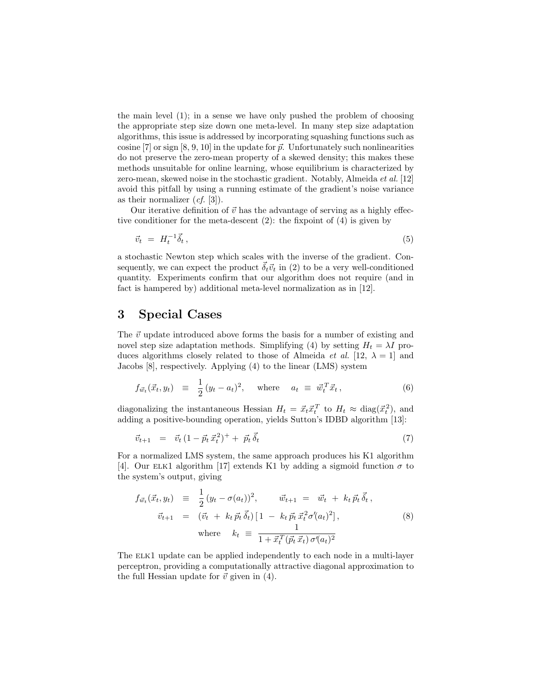the main level (1); in a sense we have only pushed the problem of choosing the appropriate step size down one meta-level. In many step size adaptation algorithms, this issue is addressed by incorporating squashing functions such as cosine [7] or sign [8, 9, 10] in the update for  $\vec{p}$ . Unfortunately such nonlinearities do not preserve the zero-mean property of a skewed density; this makes these methods unsuitable for online learning, whose equilibrium is characterized by zero-mean, skewed noise in the stochastic gradient. Notably, Almeida et al. [12] avoid this pitfall by using a running estimate of the gradient's noise variance as their normalizer  $(cf. [3])$ .

Our iterative definition of  $\vec{v}$  has the advantage of serving as a highly effective conditioner for the meta-descent (2): the fixpoint of (4) is given by

$$
\vec{v}_t = H_t^{-1} \vec{\delta}_t,\tag{5}
$$

a stochastic Newton step which scales with the inverse of the gradient. Consequently, we can expect the product  $\vec{\delta}_t \vec{v}_t$  in (2) to be a very well-conditioned quantity. Experiments confirm that our algorithm does not require (and in fact is hampered by) additional meta-level normalization as in [12].

### 3 Special Cases

The  $\vec{v}$  update introduced above forms the basis for a number of existing and novel step size adaptation methods. Simplifying (4) by setting  $H_t = \lambda I$  produces algorithms closely related to those of Almeida *et al.* [12,  $\lambda = 1$ ] and Jacobs [8], respectively. Applying (4) to the linear (LMS) system

$$
f_{\vec{w_t}}(\vec{x_t}, y_t) \equiv \frac{1}{2}(y_t - a_t)^2, \quad \text{where} \quad a_t \equiv \vec{w_t}^T \vec{x_t}, \qquad (6)
$$

diagonalizing the instantaneous Hessian  $H_t = \vec{x}_t \vec{x}_t^T$  to  $H_t \approx \text{diag}(\vec{x}_t^2)$ , and adding a positive-bounding operation, yields Sutton's IDBD algorithm [13]:

$$
\vec{v}_{t+1} = \vec{v}_t (1 - \vec{p}_t \, \vec{x}_t^2)^+ + \vec{p}_t \, \vec{\delta}_t \tag{7}
$$

For a normalized LMS system, the same approach produces his K1 algorithm [4]. Our ELK1 algorithm [17] extends K1 by adding a sigmoid function  $\sigma$  to the system's output, giving

$$
f_{\vec{w}_t}(\vec{x}_t, y_t) \equiv \frac{1}{2} (y_t - \sigma(a_t))^2, \qquad \vec{w}_{t+1} = \vec{w}_t + k_t \vec{p}_t \vec{\delta}_t,
$$
  

$$
\vec{v}_{t+1} = (\vec{v}_t + k_t \vec{p}_t \vec{\delta}_t) [1 - k_t \vec{p}_t \vec{x}_t^2 \sigma'(a_t)^2],
$$
  
where 
$$
k_t \equiv \frac{1}{1 + \vec{x}_t^T (\vec{p}_t \vec{x}_t) \sigma'(a_t)^2}
$$
 (8)

The ELK1 update can be applied independently to each node in a multi-layer perceptron, providing a computationally attractive diagonal approximation to the full Hessian update for  $\vec{v}$  given in (4).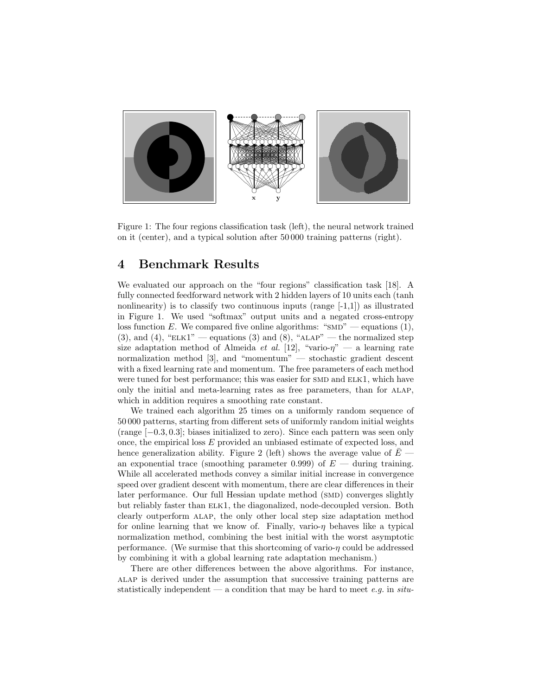

Figure 1: The four regions classification task (left), the neural network trained on it (center), and a typical solution after 50 000 training patterns (right).

## 4 Benchmark Results

We evaluated our approach on the "four regions" classification task [18]. A fully connected feedforward network with 2 hidden layers of 10 units each (tanh nonlinearity) is to classify two continuous inputs (range  $[-1,1]$ ) as illustrated in Figure 1. We used "softmax" output units and a negated cross-entropy loss function E. We compared five online algorithms: " $SMD"$  — equations (1), (3), and (4), " $E[K1"$  — equations (3) and (8), " $A LAP"$  — the normalized step size adaptation method of Almeida et al. [12], "vario- $\eta$ " — a learning rate normalization method [3], and "momentum" — stochastic gradient descent with a fixed learning rate and momentum. The free parameters of each method were tuned for best performance; this was easier for SMD and ELK1, which have only the initial and meta-learning rates as free parameters, than for alap, which in addition requires a smoothing rate constant.

We trained each algorithm 25 times on a uniformly random sequence of 50 000 patterns, starting from different sets of uniformly random initial weights (range [−0.3, 0.3]; biases initialized to zero). Since each pattern was seen only once, the empirical loss E provided an unbiased estimate of expected loss, and hence generalization ability. Figure 2 (left) shows the average value of  $\bar{E}$  an exponential trace (smoothing parameter 0.999) of  $E$  — during training. While all accelerated methods convey a similar initial increase in convergence speed over gradient descent with momentum, there are clear differences in their later performance. Our full Hessian update method (SMD) converges slightly but reliably faster than ELK1, the diagonalized, node-decoupled version. Both clearly outperform alap, the only other local step size adaptation method for online learning that we know of. Finally, vario- $\eta$  behaves like a typical normalization method, combining the best initial with the worst asymptotic performance. (We surmise that this shortcoming of vario- $\eta$  could be addressed by combining it with a global learning rate adaptation mechanism.)

There are other differences between the above algorithms. For instance, alap is derived under the assumption that successive training patterns are statistically independent — a condition that may be hard to meet  $e.g.$  in  $situ$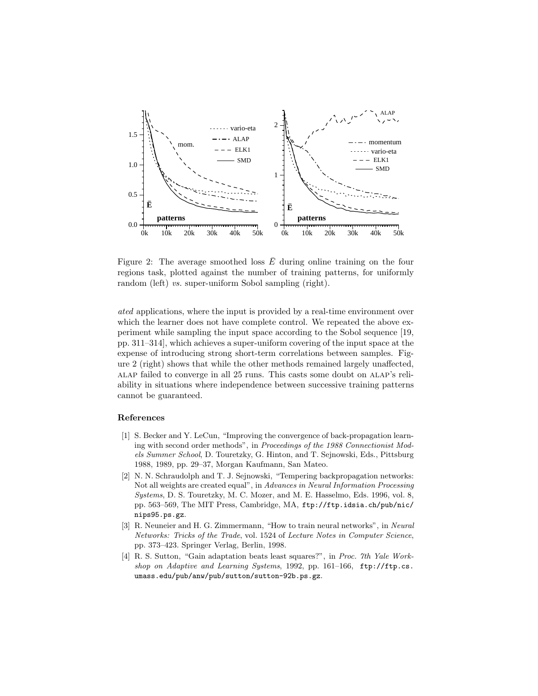

Figure 2: The average smoothed loss  $\overline{E}$  during online training on the four regions task, plotted against the number of training patterns, for uniformly random (left) vs. super-uniform Sobol sampling (right).

ated applications, where the input is provided by a real-time environment over which the learner does not have complete control. We repeated the above experiment while sampling the input space according to the Sobol sequence [19, pp. 311–314], which achieves a super-uniform covering of the input space at the expense of introducing strong short-term correlations between samples. Figure 2 (right) shows that while the other methods remained largely unaffected, alap failed to converge in all 25 runs. This casts some doubt on alap's reliability in situations where independence between successive training patterns cannot be guaranteed.

#### References

- [1] S. Becker and Y. LeCun, "Improving the convergence of back-propagation learning with second order methods", in Proceedings of the 1988 Connectionist Models Summer School, D. Touretzky, G. Hinton, and T. Sejnowski, Eds., Pittsburg 1988, 1989, pp. 29–37, Morgan Kaufmann, San Mateo.
- [2] N. N. Schraudolph and T. J. Sejnowski, "Tempering backpropagation networks: Not all weights are created equal", in Advances in Neural Information Processing Systems, D. S. Touretzky, M. C. Mozer, and M. E. Hasselmo, Eds. 1996, vol. 8, pp. 563–569, The MIT Press, Cambridge, MA, ftp://ftp.idsia.ch/pub/nic/ nips95.ps.gz.
- [3] R. Neuneier and H. G. Zimmermann, "How to train neural networks", in Neural Networks: Tricks of the Trade, vol. 1524 of Lecture Notes in Computer Science, pp. 373–423. Springer Verlag, Berlin, 1998.
- [4] R. S. Sutton, "Gain adaptation beats least squares?", in Proc. 7th Yale Workshop on Adaptive and Learning Systems, 1992, pp. 161–166, ftp://ftp.cs. umass.edu/pub/anw/pub/sutton/sutton-92b.ps.gz.